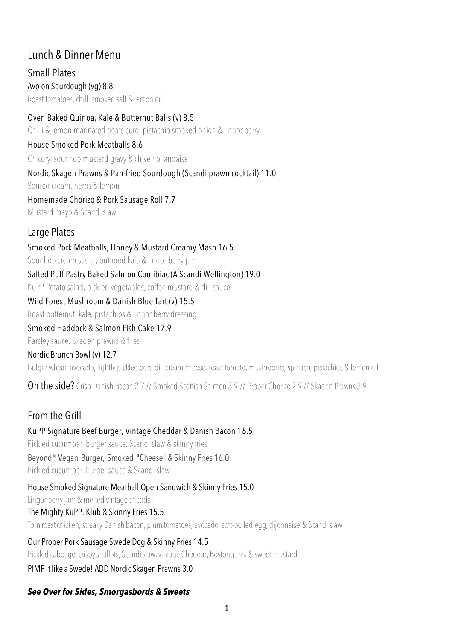# Lunch & Dinner Menu

Small Plates Avo on Sourdough (vg) 8.8 Roast tomatoes, chilli smoked salt & lemon oil

Oven Baked Quinoa, Kale & Butternut Balls (v) 8.5

Chilli & lemon marinated goats curd, pistachio smoked onion & lingonberry

House Smoked Pork Meatballs 8.6

Chicory, sour hop mustard gravy & chive hollandaise

Nordic Skagen Prawns & Pan-fried Sourdough (Scandi prawn cocktail) 11.0

Soured cream, herbs & lemon

Homemade Chorizo & Pork Sausage Roll 7.7 Mustard mayo & Scandi slaw

### Large Plates

Smoked Pork Meatballs, Honey & Mustard Creamy Mash 16.5 Sour hop cream sauce, buttered kale & lingonberry jam Salted Puff Pastry Baked Salmon Coulibiac (A Scandi Wellington) 19.0 KuPP Potato salad, pickled vegetables, coffee mustard & dill sauce

#### Wild Forest Mushroom & Danish Blue Tart (v) 15.5

Roast butternut, kale, pistachios & lingonberry dressing

#### Smoked Haddock & Salmon Fish Cake 17.9

Parsley sauce, Skagen prawns & fries

#### Nordic Brunch Bowl (v) 12.7

Bulgar wheat, avocado, lightly pickled egg, dill cream cheese, roast tomato, mushrooms, spinach, pistachios & lemon oil

On the side? Crisp Danish Bacon 2.7 // Smoked Scottish Salmon 3.9 // Proper Chorizo 2.9 // Skagen Prawns 3.9

# From the Grill

KuPP Signature Beef Burger, Vintage Cheddar & Danish Bacon 16.5 Pickled cucumber, burger sauce, Scandi slaw & skinny fries Beyond® Vegan Burger, Smoked "Cheese" & Skinny Fries 16.0 Pickled cucumber, burger sauce & Scandi slaw

House Smoked Signature Meatball Open Sandwich & Skinny Fries 15.0 Lingonberry jam & melted vintage cheddar The Mighty KuPP. Klub & Skinny Fries 15.5 Torn roastchicken, streaky Danish bacon, plumtomatoes, avocado, soft-boiled egg, dijonnaise & Scandi slaw

Our Proper Pork Sausage Swede Dog & Skinny Fries 14.5 Pickled cabbage, crispyshallots, Scandislaw,vintage Cheddar, Bostongurka & sweet mustard PIMP it like a Swede! ADD Nordic Skagen Prawns 3.0

# *See Over for Sides, Smorgasbords & Sweets*